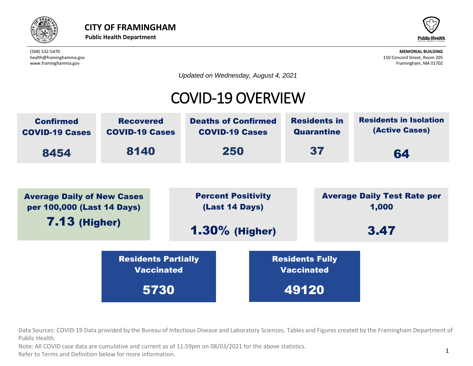



*Updated on Wednesday, August 4, 2021*

### COVID-19 OVERVIEW



rces: COVID-19 Data provided by the Bureau of Infectious Disease and Laboratory Scienc<br>:alth. Average Daily of New Cases Data Sources: COVID-19 Data provided by the Bureau of Infectious Disease and Laboratory Sciences, Tables and Figures created by the Framingham Department of<br>Public Health Public Health. Residents Partially value of the contract of the contract of the contract of the contract of the contract of the contract of the contract of the contract of the contract of the contract of the contract of the contract of the contract of the c

นา.<br>DVID case data are cumulative and current as of 11:59pm on 08/03/2021 for the al<br>rms and Definition below for more information Public Health.<br>Note: All COVID case data are cumulative and current as of 11:59pm on 08/03/2021 for the above statistics.

Refer to Terms and Definition below for more information.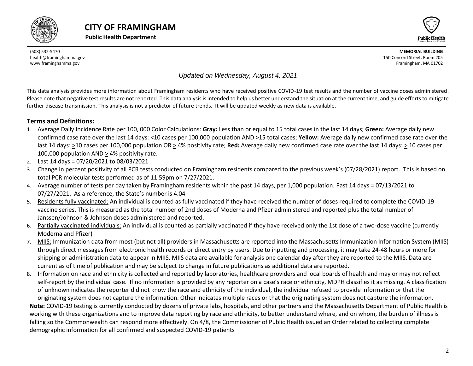





#### *Updated on Wednesday, August 4, 2021*

This data analysis provides more information about Framingham residents who have received positive COVID-19 test results and the number of vaccine doses administered. Please note that negative test results are not reported. This data analysis is intended to help us better understand the situation at the current time, and guide efforts to mitigate further disease transmission. This analysis is not a predictor of future trends. It will be updated weekly as new data is available.

#### **Terms and Definitions:**

- 1. Average Daily Incidence Rate per 100, 000 Color Calculations: **Gray:** Less than or equal to 15 total cases in the last 14 days; **Green:** Average daily new confirmed case rate over the last 14 days: <10 cases per 100,000 population AND >15 total cases; **Yellow:** Average daily new confirmed case rate over the last 14 days: >10 cases per 100,000 population OR > 4% positivity rate; **Red:** Average daily new confirmed case rate over the last 14 days: > 10 cases per 100,000 population AND > 4% positivity rate.
- 2. Last 14 days = 07/20/2021 to 08/03/2021
- 3. Change in percent positivity of all PCR tests conducted on Framingham residents compared to the previous week's (07/28/2021) report. This is based on total PCR molecular tests performed as of 11:59pm on 7/27/2021.
- 4. Average number of tests per day taken by Framingham residents within the past 14 days, per 1,000 population. Past 14 days = 07/13/2021 to 07/27/2021. As a reference, the State's number is 4.04
- 5. Residents fully vaccinated: An individual is counted as fully vaccinated if they have received the number of doses required to complete the COVID-19 vaccine series. This is measured as the total number of 2nd doses of Moderna and Pfizer administered and reported plus the total number of Janssen/Johnson & Johnson doses administered and reported.
- 6. Partially vaccinated individuals: An individual is counted as partially vaccinated if they have received only the 1st dose of a two-dose vaccine (currently Moderna and Pfizer)
- 7. MIIS: Immunization data from most (but not all) providers in Massachusetts are reported into the Massachusetts Immunization Information System (MIIS) through direct messages from electronic health records or direct entry by users. Due to inputting and processing, it may take 24-48 hours or more for shipping or administration data to appear in MIIS. MIIS data are available for analysis one calendar day after they are reported to the MIIS. Data are current as of time of publication and may be subject to change in future publications as additional data are reported.
- 8. Information on race and ethnicity is collected and reported by laboratories, healthcare providers and local boards of health and may or may not reflect self-report by the individual case. If no information is provided by any reporter on a case's race or ethnicity, MDPH classifies it as missing. A classification of unknown indicates the reporter did not know the race and ethnicity of the individual, the individual refused to provide information or that the originating system does not capture the information. Other indicates multiple races or that the originating system does not capture the information.

<span id="page-1-0"></span>**Note:** COVID-19 testing is currently conducted by dozens of private labs, hospitals, and other partners and the Massachusetts Department of Public Health is working with these organizations and to improve data reporting by race and ethnicity, to better understand where, and on whom, the burden of illness is falling so the Commonwealth can respond more effectively. On 4/8, the Commissioner of Public Health issued an Order related to collecting complete demographic information for all confirmed and suspected COVID-19 patients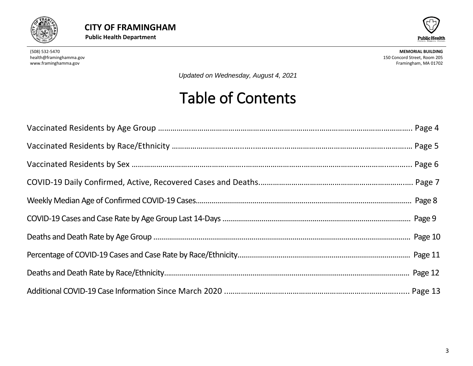



*Updated on Wednesday, August 4, 2021*

# Table of Contents

<span id="page-2-0"></span>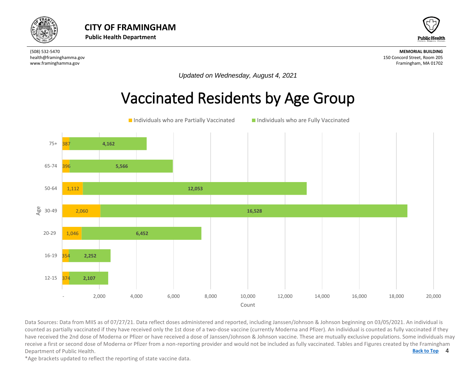



*Updated on Wednesday, August 4, 2021*

# Vaccinated Residents by Age Group



4 **[Back to Top](#page-1-0)** Data Sources: Data from MIIS as of 07/27/21. Data reflect doses administered and reported, including Janssen/Johnson & Johnson beginning on 03/05/2021. An individual is<br>counted as partially vaccinated if they have received Data Sources: Data from MIIS as of 07/27/21. Data reflect doses administered and reported, including Janssen/Johnson & Johnson beginning on 03/05/2021. An individual is have received the 2nd dose of Moderna or Pfizer or have received a dose of Janssen/Johnson & Johnson vaccine. These are mutually exclusive populations. Some individuals may receive a first or second dose of Moderna or Pfizer from a non-reporting provider and would not be included as fully vaccinated. Tables and Figures created by the Framingham Department of Public Health.

\*Age brackets updated to reflect the reporting of state vaccine data.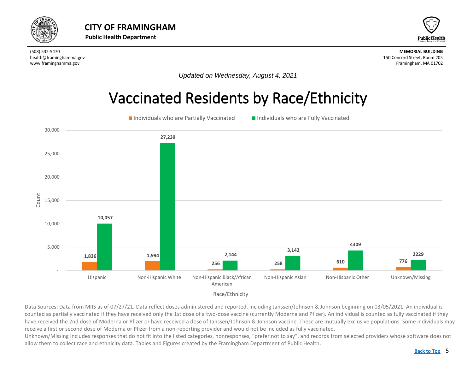<span id="page-4-0"></span>



*Updated on Wednesday, August 4, 2021*

### Vaccinated Residents by Race/Ethnicity





Data Sources: Data from MIIS as of 07/27/21. Data reflect doses administered and reported, including Janssen/Johnson & Johnson beginning on 03/05/2021. An individual is counted as partially vaccinated if they have received only the 1st dose of a two-dose vaccine (currently Moderna and Pfizer). An individual is counted as fully vaccinated if they have received the 2nd dose of Moderna or Pfizer or have received a dose of Janssen/Johnson & Johnson vaccine. These are mutually exclusive populations. Some individuals may receive a first or second dose of Moderna or Pfizer from a non-reporting provider and would not be included as fully vaccinated.

Unknown/Missing Includes responses that do not fit into the listed categories, nonresponses, "prefer not to say", and records from selected providers whose software does not allow them to collect race and ethnicity data. Tables and Figures created by the Framingham Department of Public Health.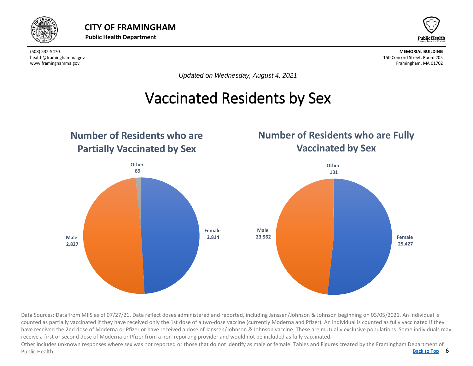



*Updated on Wednesday, August 4, 2021*

# Vaccinated Residents by Sex

<span id="page-5-0"></span>

Data Sources: Data from MIIS as of 07/27/21. Data reflect doses administered and reported, including Janssen/Johnson & Johnson beginning on 03/05/2021. An individual is counted as partially vaccinated if they have received only the 1st dose of a two-dose vaccine (currently Moderna and Pfizer). An individual is counted as fully vaccinated if they have received the 2nd dose of Moderna or Pfizer or have received a dose of Janssen/Johnson & Johnson vaccine. These are mutually exclusive populations. Some individuals may receive a first or second dose of Moderna or Pfizer from a non-reporting provider and would not be included as fully vaccinated.

Back to Top 6 Other includes unknown responses where sex was not reported or those that do not identify as male or female. Tables and Figures created by the Framingham Department of Public Health **[Back to Top](#page-1-0)**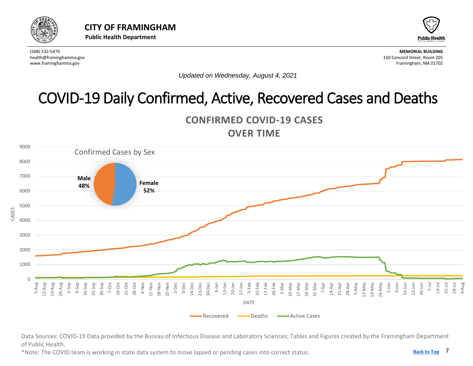<span id="page-6-0"></span>



*Updated on Wednesday, August 4, 2021*

# COVID-19 Daily Confirmed, Active, Recovered Cases and Deaths





Data Sources: COVID-19 Data provided by the Bureau of Infectious Disease and Laboratory Sciences; Tables and Figures created by the Framingham Department of Public Health.

\*Note: The COVID team is working in state data system to move lapsed or pending cases into correct status.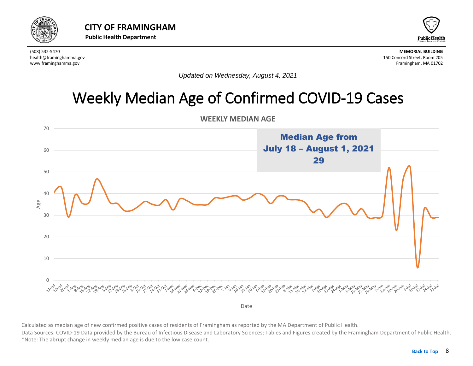<span id="page-7-0"></span>



*Updated on Wednesday, August 4, 2021*

# Weekly Median Age of Confirmed COVID-19 Cases



**WEEKLY MEDIAN AGE** 

Calculated as median age of new confirmed positive cases of residents of Framingham as reported by the MA Department of Public Health.<br>Data Sources: COVID-19 Data provided by the Bureau of Infectious Disease and Laboratory Calculated as median age of new confirmed positive cases of residents of Framingham as reported by the MA Department of Public Health. \*Note: The abrupt change in weekly median age is due to the low case count.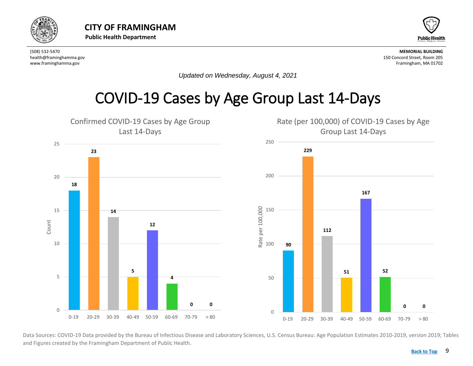<span id="page-8-0"></span>



*Updated on Wednesday, August 4, 2021*

#### COVID-19 Cases by Age Group Last 14-Days



Data Sources: COVID-19 Data provided by the Bureau of Infectious Disease and Laboratory Sciences, U.S. Census Bureau: Age Population Estimates 2010-2019, version 2019; Tables and Figures created by the Framingham Department of Public Health.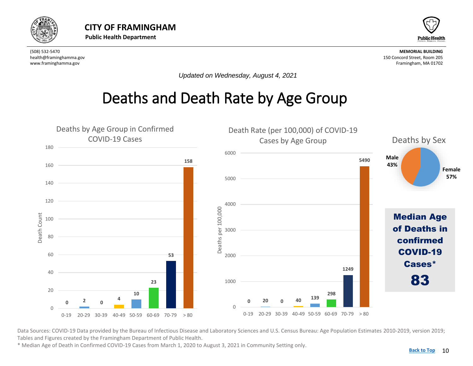<span id="page-9-0"></span>



*Updated on Wednesday, August 4, 2021*

### Deaths and Death Rate by Age Group



Data Sources: COVID-19 Data provided by the Bureau of Infectious Disease and Laboratory Sciences and U.S. Census Bureau: Age Population Estimates 2010-2019, version 2019; Tables and Figures created by the Framingham Department of Public Health.

\* Median Age of Death in Confirmed COVID-19 Cases from March 1, 2020 to August 3, 2021 in Community Setting only.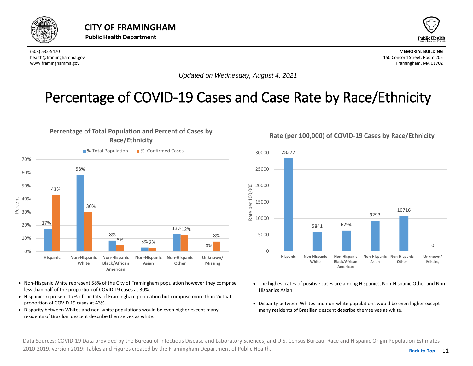<span id="page-10-0"></span>



*Updated on Wednesday, August 4, 2021*

#### Percentage of COVID-19 Cases and Case Rate by Race/Ethnicity

#### **Percentage of Total Population and Percent of Cases by Race/Ethnicity**



- Non-Hispanic White represent 58% of the City of Framingham population however they comprise less than half of the proportion of COVID 19 cases at 30%.
- Hispanics represent 17% of the City of Framingham population but comprise more than 2x that proportion of COVID 19 cases at 43%.
- Disparity between Whites and non-white populations would be even higher except many residents of Brazilian descent describe themselves as white.

28377 30000 25000 per 100,000 20000 Rate per 100,000 15000 10716 Rate 9293 10000 5841 6294 5000 0  $\Omega$ **Hispanic Non-Hispanic Non-Hispanic Non-Hispanic Non-Hispanic Unknown/ White Black/African Asian Other Missing American**

- The highest rates of positive cases are among Hispanics, Non-Hispanic Other and Non-Hispanics Asian.
- Disparity between Whites and non-white populations would be even higher except many residents of Brazilian descent describe themselves as white.

Data Sources: COVID-19 Data provided by the Bureau of Infectious Disease and Laboratory Sciences; and U.S. Census Bureau: Race and Hispanic Origin Population Estimates 2010-2019, version 2019; Tables and Figures created by the Framingham Department of Public Health.

#### **Rate (per 100,000) of COVID-19 Cases by Race/Ethnicity**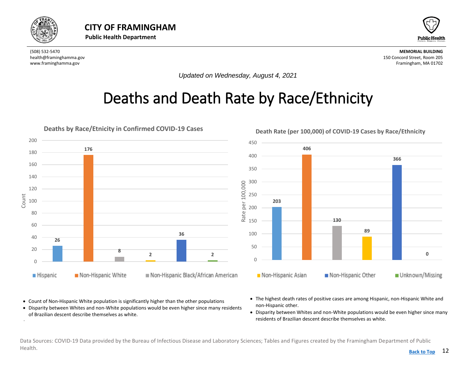<span id="page-11-0"></span>

•



(508) 532-5470 **MEMORIAL BUILDING** health@framinghamma.gov 150 Concord Street, Room 205 www.framinghamma.gov Framingham, MA 01702

*Updated on Wednesday, August 4, 2021*

# Deaths and Death Rate by Race/Ethnicity



- Count of Non-Hispanic White population is significantly higher than the other populations
- Disparity between Whites and non-White populations would be even higher since many residents of Brazilian descent describe themselves as white.
- The highest death rates of positive cases are among Hispanic, non-Hispanic White and non-Hispanic other.
- Disparity between Whites and non-White populations would be even higher since many residents of Brazilian descent describe themselves as white.

Data Sources: COVID-19 Data provided by the Bureau of Infectious Disease and Laboratory Sciences; Tables and Figures created by the Framingham Department of Public Health. **[Back to Top](#page-1-0)**